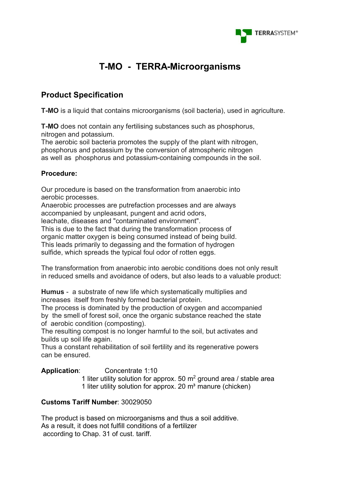

## **T-MO - TERRA-Microorganisms**

### **Product Specification**

**T-MO** is a liquid that contains microorganisms (soil bacteria), used in agriculture.

**T-MO** does not contain any fertilising substances such as phosphorus, nitrogen and potassium.

The aerobic soil bacteria promotes the supply of the plant with nitrogen, phosphorus and potassium by the conversion of atmospheric nitrogen as well as phosphorus and potassium-containing compounds in the soil.

#### **Procedure:**

Our procedure is based on the transformation from anaerobic into aerobic processes.

Anaerobic processes are putrefaction processes and are always accompanied by unpleasant, pungent and acrid odors,

leachate, diseases and "contaminated environment".

This is due to the fact that during the transformation process of

organic matter oxygen is being consumed instead of being build.

This leads primarily to degassing and the formation of hydrogen

sulfide, which spreads the typical foul odor of rotten eggs.

The transformation from anaerobic into aerobic conditions does not only result in reduced smells and avoidance of oders, but also leads to a valuable product:

**Humus** - a substrate of new life which systematically multiplies and increases itself from freshly formed bacterial protein.

The process is dominated by the production of oxygen and accompanied by the smell of forest soil, once the organic substance reached the state of aerobic condition (composting).

The resulting compost is no longer harmful to the soil, but activates and builds up soil life again.

Thus a constant rehabilitation of soil fertility and its regenerative powers can be ensured.

**Application**: Concentrate 1:10

1 liter utility solution for approx. 50  $m<sup>2</sup>$  ground area / stable area 1 liter utility solution for approx. 20  $m<sup>3</sup>$  manure (chicken)

#### **Customs Tariff Number**: 30029050

The product is based on microorganisms and thus a soil additive. As a result, it does not fulfill conditions of a fertilizer according to Chap. 31 of cust. tariff.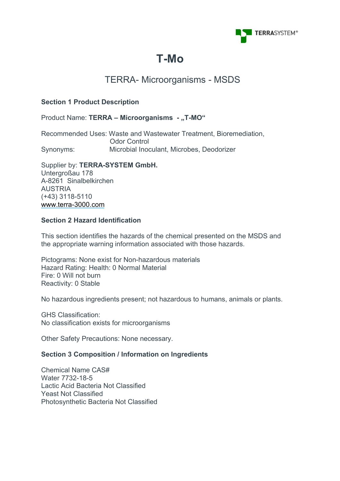

# **T-Mo**

## TERRA- Microorganisms - MSDS

#### **Section 1 Product Description**

#### Product Name: TERRA - Microorganisms - "T-MO"

Recommended Uses: Waste and Wastewater Treatment, Bioremediation, Odor Control Synonyms: Microbial Inoculant, Microbes, Deodorizer

Supplier by: **TERRA-SYSTEM GmbH.** Untergroßau 178 A-8261 Sinalbelkirchen AUSTRIA (+43) 3118-5110 <www.terra-3000.com>

#### **Section 2 Hazard Identification**

This section identifies the hazards of the chemical presented on the MSDS and the appropriate warning information associated with those hazards.

Pictograms: None exist for Non-hazardous materials Hazard Rating: Health: 0 Normal Material Fire: 0 Will not burn Reactivity: 0 Stable

No hazardous ingredients present; not hazardous to humans, animals or plants.

GHS Classification: No classification exists for microorganisms

Other Safety Precautions: None necessary.

#### **Section 3 Composition / Information on Ingredients**

Chemical Name CAS# Water 7732-18-5 Lactic Acid Bacteria Not Classified Yeast Not Classified Photosynthetic Bacteria Not Classified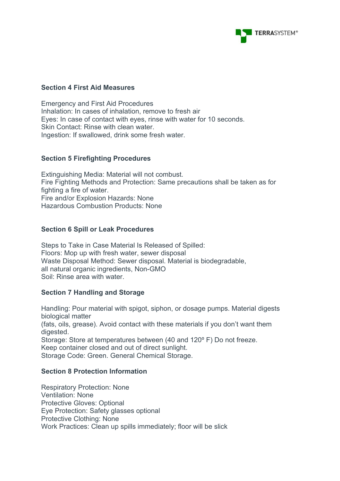

#### **Section 4 First Aid Measures**

Emergency and First Aid Procedures Inhalation: In cases of inhalation, remove to fresh air Eyes: In case of contact with eyes, rinse with water for 10 seconds. Skin Contact: Rinse with clean water. Ingestion: If swallowed, drink some fresh water.

#### **Section 5 Firefighting Procedures**

Extinguishing Media: Material will not combust. Fire Fighting Methods and Protection: Same precautions shall be taken as for fighting a fire of water. Fire and/or Explosion Hazards: None Hazardous Combustion Products: None

#### **Section 6 Spill or Leak Procedures**

Steps to Take in Case Material Is Released of Spilled: Floors: Mop up with fresh water, sewer disposal Waste Disposal Method: Sewer disposal. Material is biodegradable, all natural organic ingredients, Non-GMO Soil: Rinse area with water.

#### **Section 7 Handling and Storage**

Handling: Pour material with spigot, siphon, or dosage pumps. Material digests biological matter (fats, oils, grease). Avoid contact with these materials if you don't want them digested. Storage: Store at temperatures between (40 and 120º F) Do not freeze. Keep container closed and out of direct sunlight. Storage Code: Green. General Chemical Storage.

#### **Section 8 Protection Information**

Respiratory Protection: None Ventilation: None Protective Gloves: Optional Eye Protection: Safety glasses optional Protective Clothing: None Work Practices: Clean up spills immediately; floor will be slick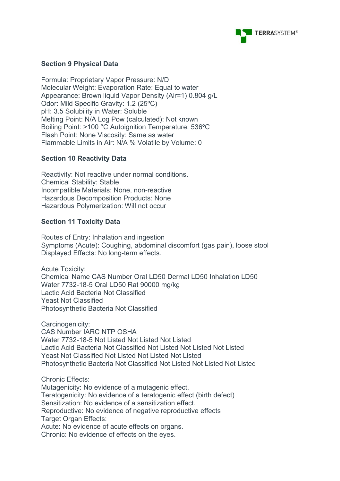

#### **Section 9 Physical Data**

Formula: Proprietary Vapor Pressure: N/D Molecular Weight: Evaporation Rate: Equal to water Appearance: Brown liquid Vapor Density (Air=1) 0.804 g/L Odor: Mild Specific Gravity: 1.2 (25ºC) pH: 3.5 Solubility in Water: Soluble Melting Point: N/A Log Pow (calculated): Not known Boiling Point: >100 °C Autoignition Temperature: 536ºC Flash Point: None Viscosity: Same as water Flammable Limits in Air: N/A % Volatile by Volume: 0

#### **Section 10 Reactivity Data**

Reactivity: Not reactive under normal conditions. Chemical Stability: Stable Incompatible Materials: None, non-reactive Hazardous Decomposition Products: None Hazardous Polymerization: Will not occur

#### **Section 11 Toxicity Data**

Routes of Entry: Inhalation and ingestion Symptoms (Acute): Coughing, abdominal discomfort (gas pain), loose stool Displayed Effects: No long-term effects.

Acute Toxicity: Chemical Name CAS Number Oral LD50 Dermal LD50 Inhalation LD50 Water 7732-18-5 Oral LD50 Rat 90000 mg/kg Lactic Acid Bacteria Not Classified Yeast Not Classified Photosynthetic Bacteria Not Classified

Carcinogenicity: CAS Number IARC NTP OSHA Water 7732-18-5 Not Listed Not Listed Not Listed Lactic Acid Bacteria Not Classified Not Listed Not Listed Not Listed Yeast Not Classified Not Listed Not Listed Not Listed Photosynthetic Bacteria Not Classified Not Listed Not Listed Not Listed

Chronic Effects: Mutagenicity: No evidence of a mutagenic effect. Teratogenicity: No evidence of a teratogenic effect (birth defect) Sensitization: No evidence of a sensitization effect. Reproductive: No evidence of negative reproductive effects Target Organ Effects: Acute: No evidence of acute effects on organs. Chronic: No evidence of effects on the eyes.